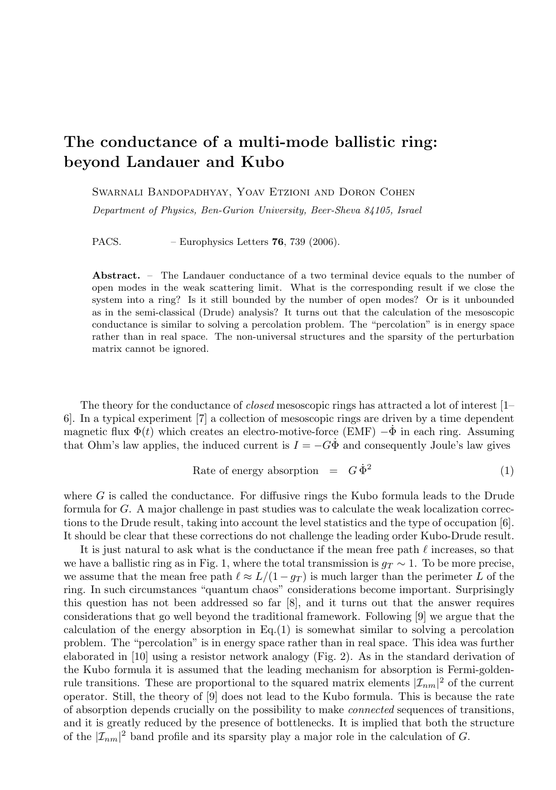## The conductance of a multi-mode ballistic ring: beyond Landauer and Kubo

SWARNALI BANDOPADHYAY, YOAV ETZIONI AND DORON COHEN

Department of Physics, Ben-Gurion University, Beer-Sheva 84105, Israel

PACS. – Europhysics Letters **76**, 739 (2006).

Abstract. – The Landauer conductance of a two terminal device equals to the number of open modes in the weak scattering limit. What is the corresponding result if we close the system into a ring? Is it still bounded by the number of open modes? Or is it unbounded as in the semi-classical (Drude) analysis? It turns out that the calculation of the mesoscopic conductance is similar to solving a percolation problem. The "percolation" is in energy space rather than in real space. The non-universal structures and the sparsity of the perturbation matrix cannot be ignored.

The theory for the conductance of *closed* mesoscopic rings has attracted a lot of interest  $[1-$ 6]. In a typical experiment [7] a collection of mesoscopic rings are driven by a time dependent magnetic flux  $\Phi(t)$  which creates an electro-motive-force (EMF)  $-\Phi$  in each ring. Assuming that Ohm's law applies, the induced current is  $I = -G\Phi$  and consequently Joule's law gives

Rate of energy absorption = 
$$
G\dot{\Phi}^2
$$
 (1)

where G is called the conductance. For diffusive rings the Kubo formula leads to the Drude formula for G. A major challenge in past studies was to calculate the weak localization corrections to the Drude result, taking into account the level statistics and the type of occupation [6]. It should be clear that these corrections do not challenge the leading order Kubo-Drude result.

It is just natural to ask what is the conductance if the mean free path  $\ell$  increases, so that we have a ballistic ring as in Fig. 1, where the total transmission is  $g_T \sim 1$ . To be more precise, we assume that the mean free path  $\ell \approx L/(1 - g_T)$  is much larger than the perimeter L of the ring. In such circumstances "quantum chaos" considerations become important. Surprisingly this question has not been addressed so far [8], and it turns out that the answer requires considerations that go well beyond the traditional framework. Following [9] we argue that the calculation of the energy absorption in  $Eq.(1)$  is somewhat similar to solving a percolation problem. The "percolation" is in energy space rather than in real space. This idea was further elaborated in [10] using a resistor network analogy (Fig. 2). As in the standard derivation of the Kubo formula it is assumed that the leading mechanism for absorption is Fermi-goldenrule transitions. These are proportional to the squared matrix elements  $|\mathcal{I}_{nm}|^2$  of the current operator. Still, the theory of [9] does not lead to the Kubo formula. This is because the rate of absorption depends crucially on the possibility to make connected sequences of transitions, and it is greatly reduced by the presence of bottlenecks. It is implied that both the structure of the  $|\mathcal{I}_{nm}|^2$  band profile and its sparsity play a major role in the calculation of G.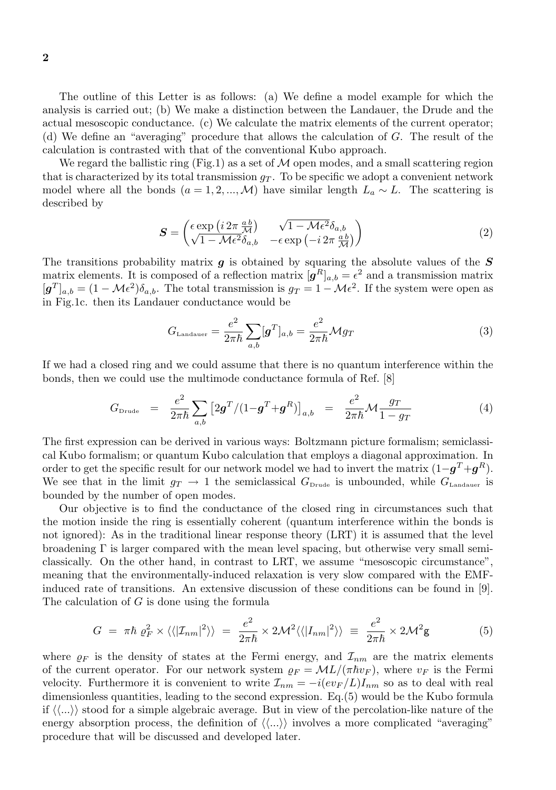The outline of this Letter is as follows: (a) We define a model example for which the analysis is carried out; (b) We make a distinction between the Landauer, the Drude and the actual mesoscopic conductance. (c) We calculate the matrix elements of the current operator; (d) We define an "averaging" procedure that allows the calculation of G. The result of the calculation is contrasted with that of the conventional Kubo approach.

We regard the ballistic ring (Fig.1) as a set of  $M$  open modes, and a small scattering region that is characterized by its total transmission  $g<sub>T</sub>$ . To be specific we adopt a convenient network model where all the bonds  $(a = 1, 2, ..., M)$  have similar length  $L_a \sim L$ . The scattering is described by

$$
\mathbf{S} = \begin{pmatrix} \epsilon \exp\left(i2\pi \frac{ab}{\mathcal{M}}\right) & \sqrt{1 - \mathcal{M}\epsilon^2} \delta_{a,b} \\ \sqrt{1 - \mathcal{M}\epsilon^2} \delta_{a,b} & -\epsilon \exp\left(-i2\pi \frac{ab}{\mathcal{M}}\right) \end{pmatrix} \tag{2}
$$

The transitions probability matrix  $g$  is obtained by squaring the absolute values of the  $S$ matrix elements. It is composed of a reflection matrix  $[g^R]_{a,b} = \epsilon^2$  and a transmission matrix  $[g^T]_{a,b} = (1 - \mathcal{M}\epsilon^2)\delta_{a,b}$ . The total transmission is  $g_T = 1 - \mathcal{M}\epsilon^2$ . If the system were open as in Fig.1c. then its Landauer conductance would be

$$
G_{\text{Landauer}} = \frac{e^2}{2\pi\hbar} \sum_{a,b} [\mathbf{g}^T]_{a,b} = \frac{e^2}{2\pi\hbar} \mathcal{M} g_T \tag{3}
$$

If we had a closed ring and we could assume that there is no quantum interference within the bonds, then we could use the multimode conductance formula of Ref. [8]

$$
G_{\text{Drude}} = \frac{e^2}{2\pi\hbar} \sum_{a,b} \left[ 2g^T / (1 - g^T + g^R) \right]_{a,b} = \frac{e^2}{2\pi\hbar} \mathcal{M} \frac{g_T}{1 - g_T} \tag{4}
$$

The first expression can be derived in various ways: Boltzmann picture formalism; semiclassical Kubo formalism; or quantum Kubo calculation that employs a diagonal approximation. In order to get the specific result for our network model we had to invert the matrix  $(1 - g^T + g^R)$ . We see that in the limit  $g_T \to 1$  the semiclassical  $G_{\text{Drude}}$  is unbounded, while  $G_{\text{Landauer}}$  is bounded by the number of open modes.

Our objective is to find the conductance of the closed ring in circumstances such that the motion inside the ring is essentially coherent (quantum interference within the bonds is not ignored): As in the traditional linear response theory (LRT) it is assumed that the level broadening  $\Gamma$  is larger compared with the mean level spacing, but otherwise very small semiclassically. On the other hand, in contrast to LRT, we assume "mesoscopic circumstance", meaning that the environmentally-induced relaxation is very slow compared with the EMFinduced rate of transitions. An extensive discussion of these conditions can be found in [9]. The calculation of  $G$  is done using the formula

$$
G = \pi \hbar \varrho_F^2 \times \langle \langle |{\mathcal{I}}_{nm}|^2 \rangle \rangle = \frac{e^2}{2\pi \hbar} \times 2\mathcal{M}^2 \langle \langle |I_{nm}|^2 \rangle \rangle \equiv \frac{e^2}{2\pi \hbar} \times 2\mathcal{M}^2 \mathsf{g}
$$
(5)

where  $\rho_F$  is the density of states at the Fermi energy, and  $\mathcal{I}_{nm}$  are the matrix elements of the current operator. For our network system  $\rho_F = \mathcal{M}L/(\pi\hbar v_F)$ , where  $v_F$  is the Fermi velocity. Furthermore it is convenient to write  $\mathcal{I}_{nm} = -i(ev_F/L)I_{nm}$  so as to deal with real dimensionless quantities, leading to the second expression. Eq.(5) would be the Kubo formula if  $\langle\langle...\rangle\rangle$  stood for a simple algebraic average. But in view of the percolation-like nature of the energy absorption process, the definition of  $\langle\langle...\rangle\rangle$  involves a more complicated "averaging" procedure that will be discussed and developed later.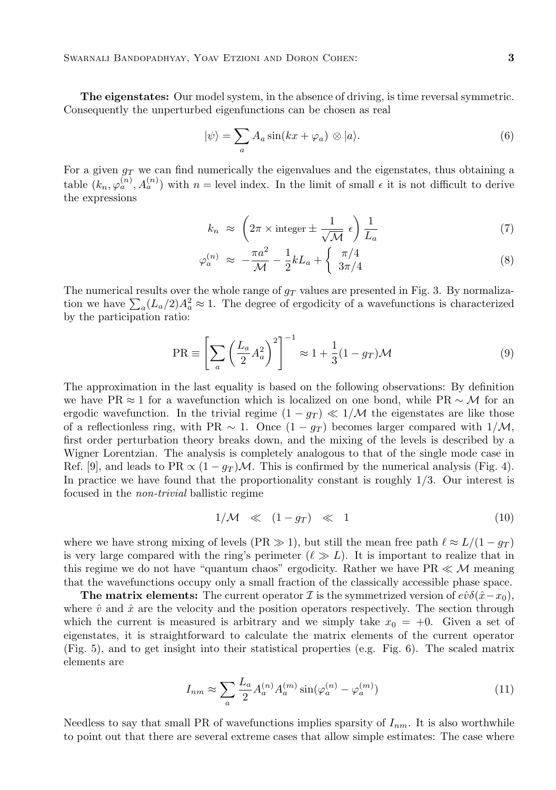The eigenstates: Our model system, in the absence of driving, is time reversal symmetric. Consequently the unperturbed eigenfunctions can be chosen as real

$$
|\psi\rangle = \sum_{a} A_a \sin(kx + \varphi_a) \otimes |a\rangle.
$$
 (6)

For a given  $g_T$  we can find numerically the eigenvalues and the eigenstates, thus obtaining a table  $(k_n, \varphi_a^{(n)}, A_a^{(n)})$  with  $n =$  level index. In the limit of small  $\epsilon$  it is not difficult to derive the expressions

$$
k_n \approx \left(2\pi \times \text{integer} \pm \frac{1}{\sqrt{\mathcal{M}}} \epsilon\right) \frac{1}{L_a} \tag{7}
$$

$$
\varphi_a^{(n)} \approx -\frac{\pi a^2}{\mathcal{M}} - \frac{1}{2}kL_a + \begin{cases} \pi/4\\ 3\pi/4 \end{cases}
$$
 (8)

The numerical results over the whole range of  $g_T$  values are presented in Fig. 3. By normalization we have  $\sum_a (L_a/2)A_a^2 \approx 1$ . The degree of ergodicity of a wavefunctions is characterized by the participation ratio:

$$
PR \equiv \left[\sum_{a} \left(\frac{L_a}{2} A_a^2\right)^2\right]^{-1} \approx 1 + \frac{1}{3} (1 - g_T) \mathcal{M}
$$
\n(9)

The approximation in the last equality is based on the following observations: By definition we have PR  $\approx$  1 for a wavefunction which is localized on one bond, while PR  $\sim$  M for an ergodic wavefunction. In the trivial regime  $(1 - g_T) \ll 1/M$  the eigenstates are like those of a reflectionless ring, with PR  $\sim 1$ . Once  $(1 - g_T)$  becomes larger compared with  $1/M$ , first order perturbation theory breaks down, and the mixing of the levels is described by a Wigner Lorentzian. The analysis is completely analogous to that of the single mode case in Ref. [9], and leads to PR  $\propto (1 - g_T)\mathcal{M}$ . This is confirmed by the numerical analysis (Fig. 4). In practice we have found that the proportionality constant is roughly 1/3. Our interest is focused in the non-trivial ballistic regime

$$
1/M \ll (1 - g_T) \ll 1 \tag{10}
$$

where we have strong mixing of levels (PR  $\gg$  1), but still the mean free path  $\ell \approx L/(1 - g_T)$ is very large compared with the ring's perimeter  $(\ell \gg L)$ . It is important to realize that in this regime we do not have "quantum chaos" ergodicity. Rather we have  $PR \ll M$  meaning that the wavefunctions occupy only a small fraction of the classically accessible phase space.

**The matrix elements:** The current operator I is the symmetrized version of  $e\hat{v}\delta(\hat{x}-x_0)$ , where  $\hat{v}$  and  $\hat{x}$  are the velocity and the position operators respectively. The section through which the current is measured is arbitrary and we simply take  $x_0 = +0$ . Given a set of eigenstates, it is straightforward to calculate the matrix elements of the current operator (Fig. 5), and to get insight into their statistical properties (e.g. Fig. 6). The scaled matrix elements are

$$
I_{nm} \approx \sum_{a} \frac{L_a}{2} A_a^{(n)} A_a^{(m)} \sin(\varphi_a^{(n)} - \varphi_a^{(m)}) \tag{11}
$$

Needless to say that small PR of wavefunctions implies sparsity of  $I_{nm}$ . It is also worthwhile to point out that there are several extreme cases that allow simple estimates: The case where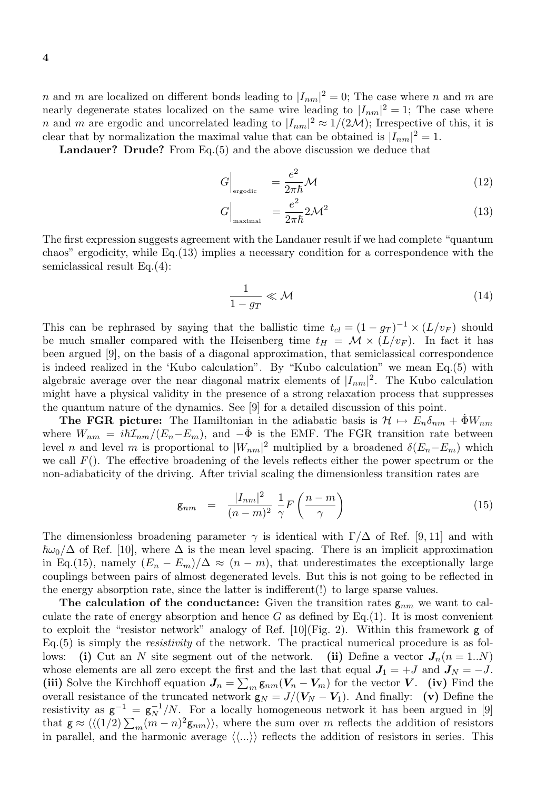n and m are localized on different bonds leading to  $|I_{nm}|^2 = 0$ ; The case where n and m are nearly degenerate states localized on the same wire leading to  $|I_{nm}|^2 = 1$ ; The case where *n* and *m* are ergodic and uncorrelated leading to  $|I_{nm}|^2 \approx 1/(2\mathcal{M})$ ; Irrespective of this, it is clear that by normalization the maximal value that can be obtained is  $|I_{nm}|^2 = 1$ .

Landauer? Drude? From Eq.(5) and the above discussion we deduce that

$$
G\Big|_{\text{ergodic}} = \frac{e^2}{2\pi\hbar} \mathcal{M}
$$
\n(12)

$$
G\Big|_{\text{maximal}} = \frac{e^2}{2\pi\hbar} 2\mathcal{M}^2 \tag{13}
$$

The first expression suggests agreement with the Landauer result if we had complete "quantum chaos" ergodicity, while Eq.(13) implies a necessary condition for a correspondence with the semiclassical result Eq.(4):

$$
\frac{1}{1 - g_T} \ll \mathcal{M} \tag{14}
$$

This can be rephrased by saying that the ballistic time  $t_{cl} = (1 - g_T)^{-1} \times (L/v_F)$  should be much smaller compared with the Heisenberg time  $t_H = \mathcal{M} \times (L/v_F)$ . In fact it has been argued [9], on the basis of a diagonal approximation, that semiclassical correspondence is indeed realized in the 'Kubo calculation". By "Kubo calculation" we mean Eq.(5) with algebraic average over the near diagonal matrix elements of  $|I_{nm}|^2$ . The Kubo calculation might have a physical validity in the presence of a strong relaxation process that suppresses the quantum nature of the dynamics. See [9] for a detailed discussion of this point.

**The FGR picture:** The Hamiltonian in the adiabatic basis is  $\mathcal{H} \mapsto E_n \delta_{nm} + \Phi W_{nm}$ where  $W_{nm} = i\hbar\mathcal{I}_{nm}/(E_n-E_m)$ , and  $-\dot{\Phi}$  is the EMF. The FGR transition rate between level *n* and level *m* is proportional to  $|W_{nm}|^2$  multiplied by a broadened  $\delta(E_n - E_m)$  which we call  $F()$ . The effective broadening of the levels reflects either the power spectrum or the non-adiabaticity of the driving. After trivial scaling the dimensionless transition rates are

$$
\mathbf{g}_{nm} = \frac{|I_{nm}|^2}{(n-m)^2} \frac{1}{\gamma} F\left(\frac{n-m}{\gamma}\right) \tag{15}
$$

The dimensionless broadening parameter  $\gamma$  is identical with  $\Gamma/\Delta$  of Ref. [9, 11] and with  $\hbar\omega_0/\Delta$  of Ref. [10], where  $\Delta$  is the mean level spacing. There is an implicit approximation in Eq.(15), namely  $(E_n - E_m)/\Delta \approx (n - m)$ , that underestimates the exceptionally large couplings between pairs of almost degenerated levels. But this is not going to be reflected in the energy absorption rate, since the latter is indifferent(!) to large sparse values.

The calculation of the conductance: Given the transition rates  $g_{nm}$  we want to calculate the rate of energy absorption and hence  $G$  as defined by Eq.(1). It is most convenient to exploit the "resistor network" analogy of Ref.  $[10](\text{Fig. 2}).$  Within this framework g of  $Eq.(5)$  is simply the *resistivity* of the network. The practical numerical procedure is as follows: (i) Cut an N site segment out of the network. (ii) Define a vector  $J_n(n=1..N)$ whose elements are all zero except the first and the last that equal  $J_1 = +J$  and  $J_N = -J$ . (iii) Solve the Kirchhoff equation  $J_n = \sum_m g_{nm}(V_n - V_m)$  for the vector V. (iv) Find the overall resistance of the truncated network  $g_N = J/(V_N - V_1)$ . And finally: (v) Define the resistivity as  $g^{-1} = g_N^{-1}/N$ . For a locally homogeneous network it has been argued in [9] that  $g \approx \langle (1/2) \sum_m (m - n)^2 g_{nm} \rangle$ , where the sum over m reflects the addition of resistors in parallel, and the harmonic average  $\langle\langle ...\rangle$  reflects the addition of resistors in series. This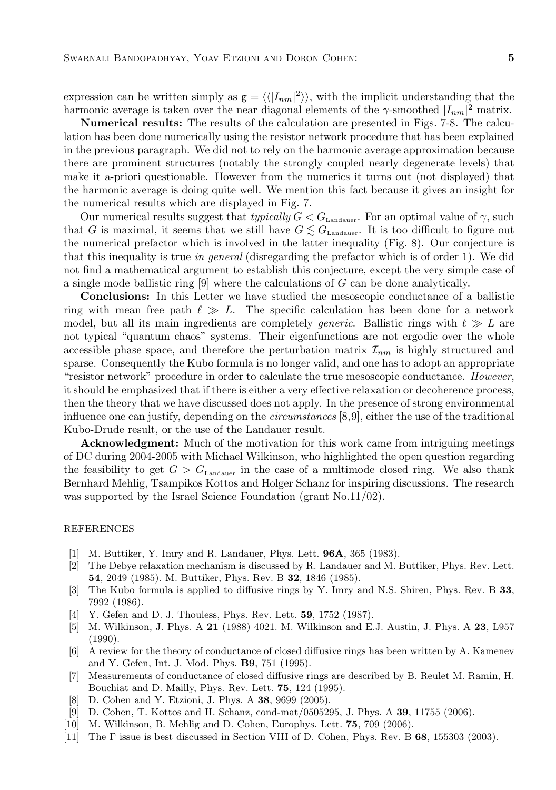expression can be written simply as  $g = \langle \langle |I_{nm}|^2 \rangle \rangle$ , with the implicit understanding that the harmonic average is taken over the near diagonal elements of the  $\gamma$ -smoothed  $|I_{nm}|^2$  matrix.

Numerical results: The results of the calculation are presented in Figs. 7-8. The calculation has been done numerically using the resistor network procedure that has been explained in the previous paragraph. We did not to rely on the harmonic average approximation because there are prominent structures (notably the strongly coupled nearly degenerate levels) that make it a-priori questionable. However from the numerics it turns out (not displayed) that the harmonic average is doing quite well. We mention this fact because it gives an insight for the numerical results which are displayed in Fig. 7.

Our numerical results suggest that typically  $G < G_{\text{Landauer}}$ . For an optimal value of  $\gamma$ , such that G is maximal, it seems that we still have  $G \lesssim G_{\text{Landauer}}$ . It is too difficult to figure out the numerical prefactor which is involved in the latter inequality (Fig. 8). Our conjecture is that this inequality is true in general (disregarding the prefactor which is of order 1). We did not find a mathematical argument to establish this conjecture, except the very simple case of a single mode ballistic ring [9] where the calculations of G can be done analytically.

Conclusions: In this Letter we have studied the mesoscopic conductance of a ballistic ring with mean free path  $\ell \gg L$ . The specific calculation has been done for a network model, but all its main ingredients are completely *generic*. Ballistic rings with  $\ell \gg L$  are not typical "quantum chaos" systems. Their eigenfunctions are not ergodic over the whole accessible phase space, and therefore the perturbation matrix  $\mathcal{I}_{nm}$  is highly structured and sparse. Consequently the Kubo formula is no longer valid, and one has to adopt an appropriate "resistor network" procedure in order to calculate the true mesoscopic conductance. However, it should be emphasized that if there is either a very effective relaxation or decoherence process, then the theory that we have discussed does not apply. In the presence of strong environmental influence one can justify, depending on the circumstances [8,9], either the use of the traditional Kubo-Drude result, or the use of the Landauer result.

Acknowledgment: Much of the motivation for this work came from intriguing meetings of DC during 2004-2005 with Michael Wilkinson, who highlighted the open question regarding the feasibility to get  $G > G<sub>Landauer</sub>$  in the case of a multimode closed ring. We also thank Bernhard Mehlig, Tsampikos Kottos and Holger Schanz for inspiring discussions. The research was supported by the Israel Science Foundation (grant No.11/02).

## REFERENCES

- [1] M. Buttiker, Y. Imry and R. Landauer, Phys. Lett. 96A, 365 (1983).
- [2] The Debye relaxation mechanism is discussed by R. Landauer and M. Buttiker, Phys. Rev. Lett. 54, 2049 (1985). M. Buttiker, Phys. Rev. B 32, 1846 (1985).
- [3] The Kubo formula is applied to diffusive rings by Y. Imry and N.S. Shiren, Phys. Rev. B 33, 7992 (1986).
- [4] Y. Gefen and D. J. Thouless, Phys. Rev. Lett. **59**, 1752 (1987).
- [5] M. Wilkinson, J. Phys. A 21 (1988) 4021. M. Wilkinson and E.J. Austin, J. Phys. A 23, L957 (1990).
- [6] A review for the theory of conductance of closed diffusive rings has been written by A. Kamenev and Y. Gefen, Int. J. Mod. Phys. B9, 751 (1995).
- [7] Measurements of conductance of closed diffusive rings are described by B. Reulet M. Ramin, H. Bouchiat and D. Mailly, Phys. Rev. Lett. 75, 124 (1995).
- [8] D. Cohen and Y. Etzioni, J. Phys. A 38, 9699 (2005).
- [9] D. Cohen, T. Kottos and H. Schanz, cond-mat/0505295, J. Phys. A 39, 11755 (2006).
- [10] M. Wilkinson, B. Mehlig and D. Cohen, Europhys. Lett. 75, 709 (2006).
- [11] The Γ issue is best discussed in Section VIII of D. Cohen, Phys. Rev. B 68, 155303 (2003).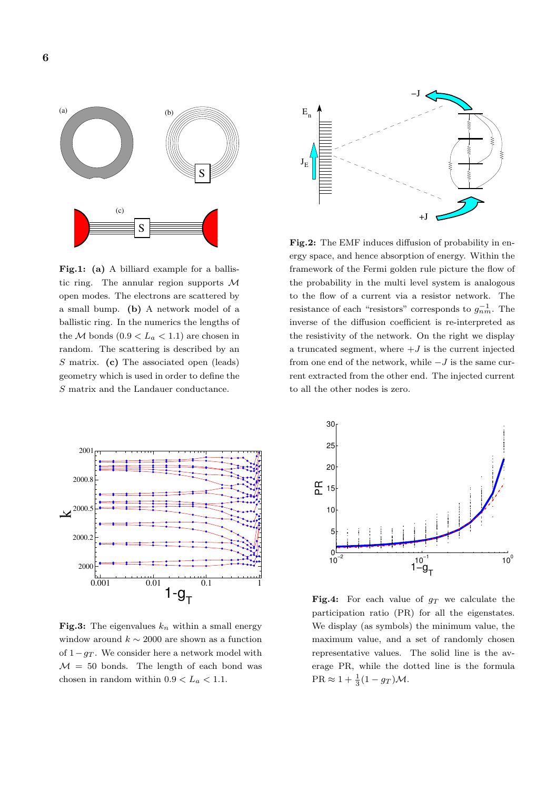

Fig.1: (a) A billiard example for a ballistic ring. The annular region supports M open modes. The electrons are scattered by a small bump. (b) A network model of a ballistic ring. In the numerics the lengths of the M bonds  $(0.9 < L_a < 1.1)$  are chosen in random. The scattering is described by an S matrix. (c) The associated open (leads) geometry which is used in order to define the S matrix and the Landauer conductance.



**Fig.3:** The eigenvalues  $k_n$  within a small energy window around  $k \sim 2000$  are shown as a function of  $1-q_T$ . We consider here a network model with  $M = 50$  bonds. The length of each bond was chosen in random within  $0.9 < L_a < 1.1$ .



Fig.2: The EMF induces diffusion of probability in energy space, and hence absorption of energy. Within the framework of the Fermi golden rule picture the flow of the probability in the multi level system is analogous to the flow of a current via a resistor network. The resistance of each "resistors" corresponds to  $g_{nm}^{-1}$ . The inverse of the diffusion coefficient is re-interpreted as the resistivity of the network. On the right we display a truncated segment, where  $+J$  is the current injected from one end of the network, while  $-J$  is the same current extracted from the other end. The injected current to all the other nodes is zero.



**Fig.4:** For each value of  $g_T$  we calculate the participation ratio (PR) for all the eigenstates. We display (as symbols) the minimum value, the maximum value, and a set of randomly chosen representative values. The solid line is the average PR, while the dotted line is the formula  $PR \approx 1 + \frac{1}{3}(1 - g_T)\mathcal{M}.$